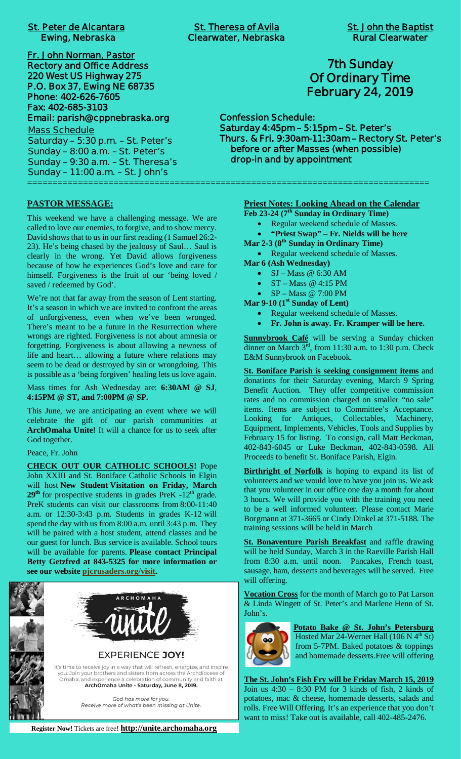| <b>St. Peter de Alcantara</b>                                                                                                                                                                                                                                                                                                                                                     | <b>St. Theresa of Avila</b>                                                                         | <b>St. John the Baptis</b>                                                                                                                                            |
|-----------------------------------------------------------------------------------------------------------------------------------------------------------------------------------------------------------------------------------------------------------------------------------------------------------------------------------------------------------------------------------|-----------------------------------------------------------------------------------------------------|-----------------------------------------------------------------------------------------------------------------------------------------------------------------------|
| <b>Ewing, Nebraska</b>                                                                                                                                                                                                                                                                                                                                                            | <b>Clearwater, Nebraska</b>                                                                         | <b>Rural Clearwater</b>                                                                                                                                               |
| Fr. John Norman, Pastor<br><b>Rectory and Office Address</b><br>220 West US Highway 275<br>P.O. Box 37, Ewing NE 68735<br>Phone: 402-626-7605<br>Fax: 402-685-3103<br>Email: parish@cppnebraska.org<br><b>Mass Schedule</b><br>Saturday - 5:30 p.m. - St. Peter's<br>Sunday $-8:00$ a.m. $-St.$ Peter's<br>Sunday - 9:30 a.m. - St. Theresa's<br>Sunday - 11:00 a.m. - St. John's | <b>Confession Schedule:</b><br>Saturday 4:45pm - 5:15pm - St. Peter's<br>drop-in and by appointment | <b>7th Sunday</b><br><b>Of Ordinary Time</b><br><b>February 24, 2019</b><br>Thurs. & Fri. 9:30am-11:30am - Rectory St. Pete<br>before or after Masses (when possible) |

**PASTOR MESSAGE:**

This weekend we have a challenging message. We are called to love our enemies, to forgive, and to show mercy. David shows that to us in our first reading (1 Samuel 26:2- 23). He's being chased by the jealousy of Saul… Saul is clearly in the wrong. Yet David allows forgiveness because of how he experiences God's love and care for himself. Forgiveness is the fruit of our 'being loved / saved / redeemed by God'.

We're not that far away from the season of Lent starting. It's a season in which we are invited to confront the areas of unforgiveness, even when we've been wronged. There's meant to be a future in the Resurrection where wrongs are righted. Forgiveness is not about amnesia or forgetting. Forgiveness is about allowing a newness of life and heart… allowing a future where relations may seem to be dead or destroyed by sin or wrongdoing. This is possible as a 'being forgiven' healing lets us love again.

Mass times for Ash Wednesday are: **6:30AM @ SJ**, **4:15PM @ ST, and 7:00PM @ SP.**

This June, we are anticipating an event where we will celebrate the gift of our parish communities at **ArchOmaha Unite!** It will a chance for us to seek after God together.

Peace, Fr. John

**CHECK OUT OUR CATHOLIC SCHOOLS!** Pope John XXIII and St. Boniface Catholic Schools in Elgin will host **New Student Visitation on Friday, March**  $29<sup>th</sup>$  for prospective students in grades PreK  $-12<sup>th</sup>$  grade. PreK students can visit our classrooms from 8:00-11:40 a.m. or 12:30-3:43 p.m. Students in grades K-12 will spend the day with us from 8:00 a.m. until 3:43 p.m. They will be paired with a host student, attend classes and be our guest for lunch. Bus service is available. School tours will be available for parents. **Please contact Principal Betty Getzfred at 843-5325 for more information or see our website pjcrusaders.org/visit.**



# **7th Sunday Of Ordinary Time February 24, 2019**

**Confession Schedule: Saturday 4:45pm – 5:15pm – St. Peter's Thurs. & Fri. 9:30am-11:30am – Rectory St. Peter's before or after Masses (when possible) drop-in and by appointment**

### **Priest Notes: Looking Ahead on the Calendar**

**Feb 23-24 (7th Sunday in Ordinary Time)**

- Regular weekend schedule of Masses.
- · **"Priest Swap" Fr. Nields will be here**
- **Mar 2-3 (8th Sunday in Ordinary Time)**

• Regular weekend schedule of Masses.

- **Mar 6 (Ash Wednesday)**
	- $SJ Mass @ 6:30 AM$
	- $ST Mass$  @ 4:15 PM
	- · SP Mass @ 7:00 PM

**Mar 9-10 (1st Sunday of Lent)**

- Regular weekend schedule of Masses.
- · **Fr. John is away. Fr. Kramper will be here.**

**Sunnybrook Café** will be serving a Sunday chicken dinner on March  $3<sup>rd</sup>$ , from 11:30 a.m. to 1:30 p.m. Check E&M Sunnybrook on Facebook.

**St. Boniface Parish is seeking consignment items** and donations for their Saturday evening, March 9 Spring Benefit Auction. They offer competitive commission rates and no commission charged on smaller "no sale" items. Items are subject to Committee's Acceptance. Looking for Antiques, Collectables, Machinery, Equipment, Implements, Vehicles, Tools and Supplies by February 15 for listing. To consign, call Matt Beckman, 402-843-6045 or Luke Beckman, 402-843-0598. All Proceeds to benefit St. Boniface Parish, Elgin.

**Birthright of Norfolk** is hoping to expand its list of volunteers and we would love to have you join us. We ask that you volunteer in our office one day a month for about 3 hours. We will provide you with the training you need to be a well informed volunteer. Please contact Marie Borgmann at 371-3665 or Cindy Dinkel at 371-5188. The training sessions will be held in March

**St. Bonaventure Parish Breakfast** and raffle drawing will be held Sunday, March 3 in the Raeville Parish Hall from 8:30 a.m. until noon. Pancakes, French toast, sausage, ham, desserts and beverages will be served. Free will offering.

**Vocation Cross** for the month of March go to Pat Larson & Linda Wingett of St. Peter's and Marlene Henn of St. John's.



**Potato Bake @ St. John's Petersburg** Hosted Mar 24-Werner Hall (106 N  $4<sup>th</sup>$  St) from 5-7PM. Baked potatoes & toppings and homemade desserts.Free will offering

**The St. John's Fish Fry will be Friday March 15, 2019** Join us  $4:30 - 8:30$  PM for 3 kinds of fish, 2 kinds of potatoes, mac & cheese, homemade desserts, salads and rolls. Free Will Offering. It's an experience that you don't want to miss! Take out is available, call 402-485-2476.